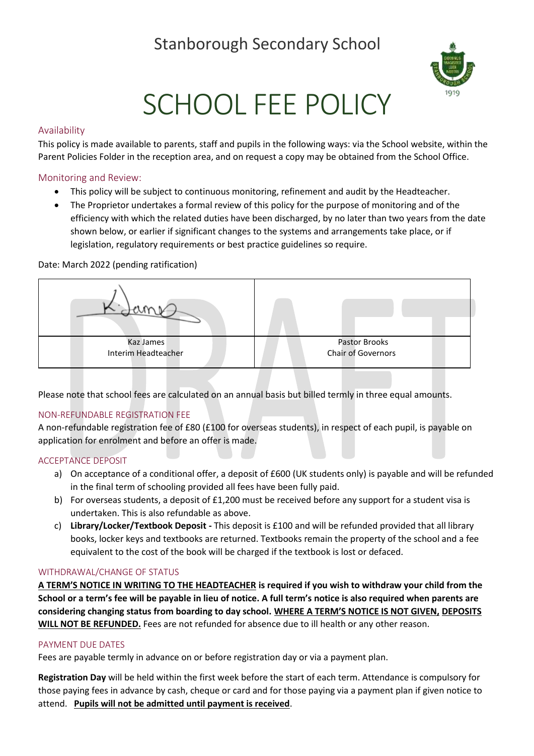# Stanborough Secondary School



# SCHOOL FEE POLICY

### Availability

This policy is made available to parents, staff and pupils in the following ways: via the School website, within the Parent Policies Folder in the reception area, and on request a copy may be obtained from the School Office.

#### Monitoring and Review:

- This policy will be subject to continuous monitoring, refinement and audit by the Headteacher.
- The Proprietor undertakes a formal review of this policy for the purpose of monitoring and of the efficiency with which the related duties have been discharged, by no later than two years from the date shown below, or earlier if significant changes to the systems and arrangements take place, or if legislation, regulatory requirements or best practice guidelines so require.

#### Date: March 2022 (pending ratification)



Please note that school fees are calculated on an annual basis but billed termly in three equal amounts.

## NON-REFUNDABLE REGISTRATION FEE

A non-refundable registration fee of £80 (£100 for overseas students), in respect of each pupil, is payable on application for enrolment and before an offer is made.

#### ACCEPTANCE DEPOSIT

- a) On acceptance of a conditional offer, a deposit of £600 (UK students only) is payable and will be refunded in the final term of schooling provided all fees have been fully paid.
- b) For overseas students, a deposit of £1,200 must be received before any support for a student visa is undertaken. This is also refundable as above.
- c) **Library/Locker/Textbook Deposit -** This deposit is £100 and will be refunded provided that all library books, locker keys and textbooks are returned. Textbooks remain the property of the school and a fee equivalent to the cost of the book will be charged if the textbook is lost or defaced.

#### WITHDRAWAL/CHANGE OF STATUS

**A TERM'S NOTICE IN WRITING TO THE HEADTEACHER is required if you wish to withdraw your child from the School or a term's fee will be payable in lieu of notice. A full term's notice is also required when parents are considering changing status from boarding to day school. WHERE A TERM'S NOTICE IS NOT GIVEN, DEPOSITS WILL NOT BE REFUNDED.** Fees are not refunded for absence due to ill health or any other reason.

#### PAYMENT DUE DATES

Fees are payable termly in advance on or before registration day or via a payment plan.

**Registration Day** will be held within the first week before the start of each term. Attendance is compulsory for those paying fees in advance by cash, cheque or card and for those paying via a payment plan if given notice to attend. **Pupils will not be admitted until payment is received**.